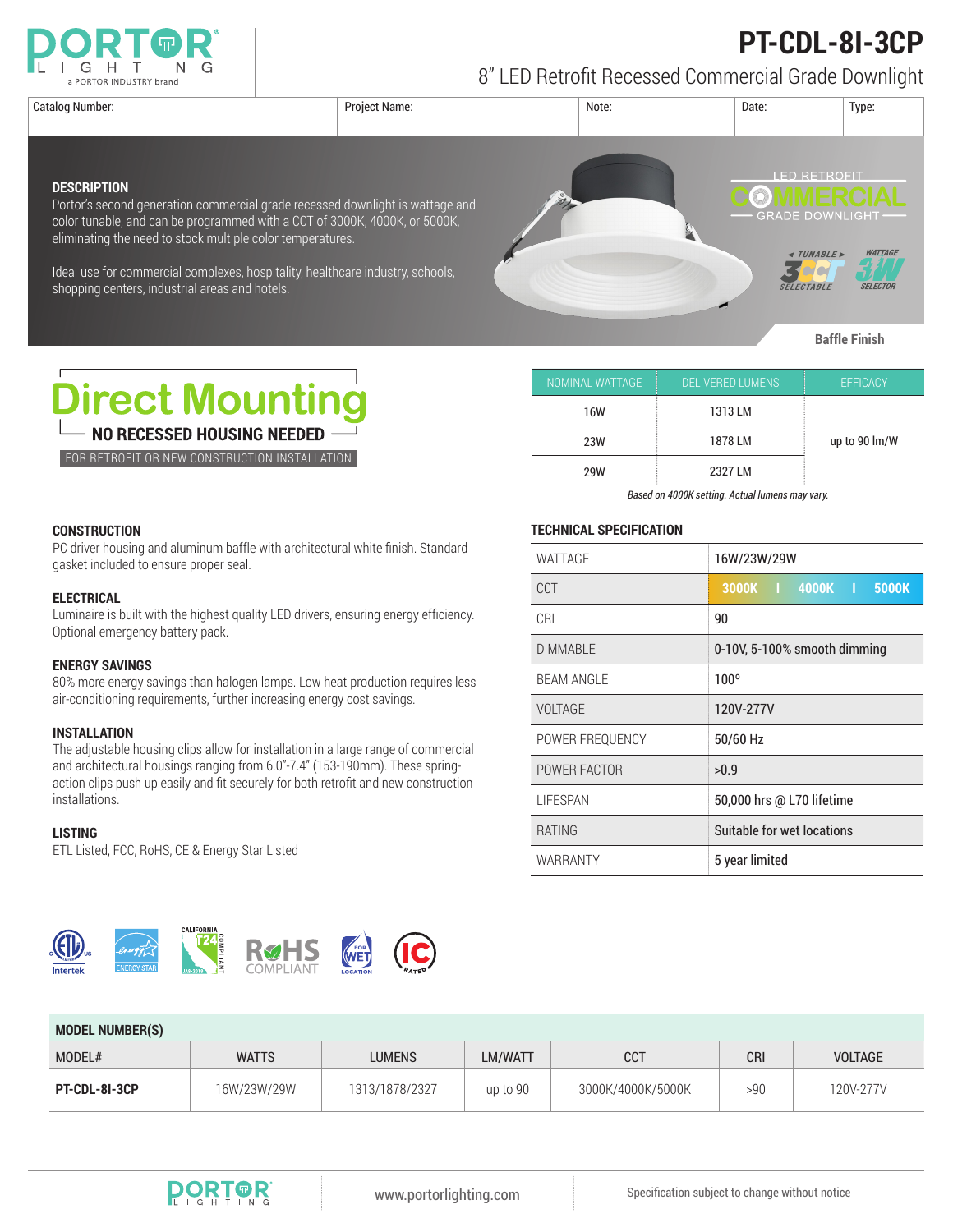

# **PT-CDL-8I-3CP**

8" LED Retrofit Recessed Commercial Grade Downlight

Catalog Number: Project Name: Note: Date: Type: **I ED RETROFIT DESCRIPTION** Portor's second generation commercial grade recessed downlight is wattage and **GRADE DOWNLIGHT** color tunable, and can be programmed with a CCT of 3000K, 4000K, or 5000K, eliminating the need to stock multiple color temperatures. *TUNABLE* **WATTAGE** Ideal use for commercial complexes, hospitality, healthcare industry, schools, Mor SELECTABLE **SFI FCTOI** shopping centers, industrial areas and hotels.

**Baffle Finish**



FOR RETROFIT OR NEW CONSTRUCTION INSTALLATION

| NOMINAL WATTAGE | <b>DELIVERED LUMENS</b> | <b>EFFICACY</b> |  |
|-----------------|-------------------------|-----------------|--|
| 16W             | 1313 LM                 | up to 90 lm/W   |  |
| 23W             | 1878 LM                 |                 |  |
| 29W             | 2327 LM                 |                 |  |

*Based on 4000K setting. Actual lumens may vary.*

PC driver housing and aluminum baffle with architectural white finish. Standard gasket included to ensure proper seal.

### **ELECTRICAL**

**CONSTRUCTION**

Luminaire is built with the highest quality LED drivers, ensuring energy efficiency. Optional emergency battery pack.

### **ENERGY SAVINGS**

80% more energy savings than halogen lamps. Low heat production requires less air-conditioning requirements, further increasing energy cost savings.

## **INSTALLATION**

The adjustable housing clips allow for installation in a large range of commercial and architectural housings ranging from 6.0"-7.4" (153-190mm). These springaction clips push up easily and fit securely for both retrofit and new construction installations.

#### **LISTING**

ETL Listed, FCC, RoHS, CE & Energy Star Listed



**TECHNICAL SPECIFICATION**

| WATTAGE           | 16W/23W/29W                  |  |  |
|-------------------|------------------------------|--|--|
| CCT               | 3000K   4000K   5000K        |  |  |
| CRI               | 90                           |  |  |
| <b>DIMMABLE</b>   | 0-10V, 5-100% smooth dimming |  |  |
| <b>BEAM ANGLE</b> | $100^{\circ}$                |  |  |
| VOLTAGE           | 120V-277V                    |  |  |
| POWER FREQUENCY   | 50/60 Hz                     |  |  |
| POWER FACTOR      | >0.9                         |  |  |
| <b>LIFESPAN</b>   | 50,000 hrs @ L70 lifetime    |  |  |
| <b>RATING</b>     | Suitable for wet locations   |  |  |
| WARRANTY          | 5 year limited               |  |  |

| <b>MODEL NUMBER(S)</b> |              |                |          |                   |            |                |  |  |
|------------------------|--------------|----------------|----------|-------------------|------------|----------------|--|--|
| MODEL#                 | <b>WATTS</b> | <b>LUMENS</b>  | LM/WATT  | <b>CCT</b>        | <b>CRI</b> | <b>VOLTAGE</b> |  |  |
| PT-CDL-81-3CP          | 16W/23W/29W  | 1313/1878/2327 | up to 90 | 3000K/4000K/5000K | >90        | 120V-277V      |  |  |